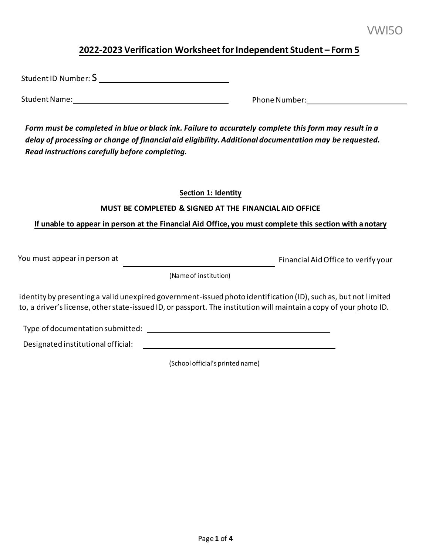# **2022-2023 Verification Worksheet for Independent Student – Form 5**

Student ID Number: S

I

Student Name: Phone Number:

 *Form must be completed in blue or black ink. Failure to accurately complete this form may result in a delay of processing or change of financial aid eligibility. Additional documentation may be requested. Read instructions carefully before completing.* 

#### **Section 1: Identity**

## **MUST BE COMPLETED & SIGNED AT THE FINANCIAL AID OFFICE**

# **If unable to appear in person at the Financial Aid Office, you must complete this section with anotary**

You must appear in person at Financial Aid Office to verify your

(Name of institution)

 to, a driver's license, other state-issued ID, or passport. The institution will maintain a copy of your photo ID. identity by presenting a valid unexpired government-issued photo identification (ID), such as, but not limited

Type of documentation submitted:

Designated institutional official:

(School official's printed name)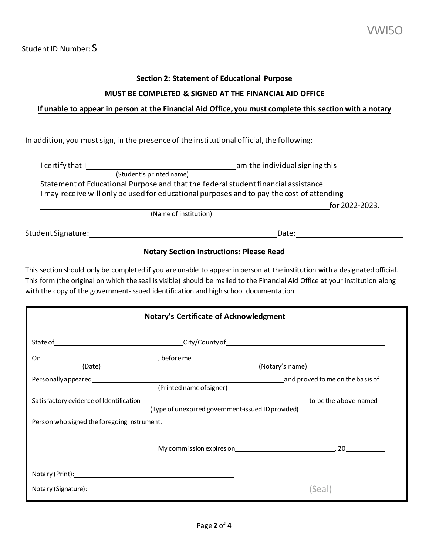Student ID Number: S

### **Section 2: Statement of Educational Purpose**

# **MUST BE COMPLETED & SIGNED AT THE FINANCIAL AID OFFICE**

### **If unable to appear in person at the Financial Aid Office, you must complete this section with a notary**

In addition, you must sign, in the presence of the institutional official, the following:

| l certify that I         | am the individual signing this                                                                                                                                                  |  |  |
|--------------------------|---------------------------------------------------------------------------------------------------------------------------------------------------------------------------------|--|--|
| (Student's printed name) |                                                                                                                                                                                 |  |  |
|                          | Statement of Educational Purpose and that the federal student financial assistance<br>I may receive will only be used for educational purposes and to pay the cost of attending |  |  |
|                          | for 2022-2023.                                                                                                                                                                  |  |  |
|                          | (Name of institution)                                                                                                                                                           |  |  |
| Student Signature:       |                                                                                                                                                                                 |  |  |

#### **Notary Section Instructions: Please Read**

 This section should only be completed if you are unable to appear in person at the institution with a designated official. This form (the original on which the seal is visible) should be mailed to the Financial Aid Office at your institution along with the copy of the government-issued identification and high school documentation.

| <b>Notary's Certificate of Acknowledgment</b> |                                                              |                                                                                            |  |  |  |
|-----------------------------------------------|--------------------------------------------------------------|--------------------------------------------------------------------------------------------|--|--|--|
|                                               |                                                              |                                                                                            |  |  |  |
|                                               |                                                              |                                                                                            |  |  |  |
| (Date)                                        |                                                              | (Notary's name)                                                                            |  |  |  |
|                                               | Personally appeared example and proved to me on the basis of |                                                                                            |  |  |  |
|                                               | (Printed name of signer)                                     |                                                                                            |  |  |  |
|                                               |                                                              |                                                                                            |  |  |  |
|                                               | (Type of unexpired government-issued ID provided)            |                                                                                            |  |  |  |
| Person who signed the foregoing instrument.   |                                                              |                                                                                            |  |  |  |
|                                               |                                                              |                                                                                            |  |  |  |
|                                               |                                                              | My commission expires on 2000 and 2000 model of 2000 model of the My commission expires on |  |  |  |
|                                               |                                                              |                                                                                            |  |  |  |
| Notary (Print): Notary (Print):               |                                                              |                                                                                            |  |  |  |
|                                               |                                                              |                                                                                            |  |  |  |
| Notary (Signature): Notary (Signature):       |                                                              | Seal                                                                                       |  |  |  |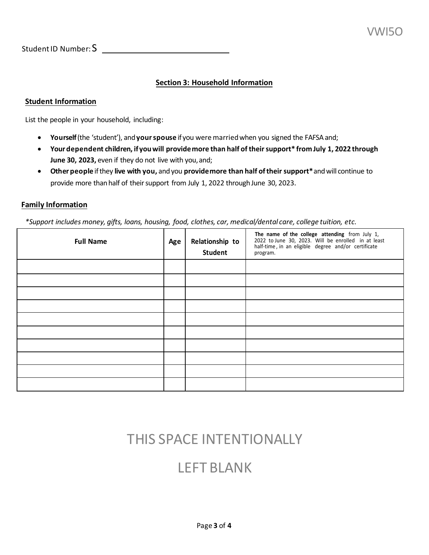Student ID Number: S

# **Section 3: Household Information**

#### **Student Information**

List the people in your household, including:

- **Yourself** (the 'student'), and **your spouse** if you were married when you signed the FAFSA and;
- **Yourdependent children, if youwill providemore than half of theirsupport\* from July 1, 2022 through June 30, 2023,** even if they do not live with you,and;
- **Other people** if they **live with you,** and you **provide more than half of their support\*** and will continue to provide more than half of their support from July 1, 2022 through June 30, 2023.

#### **Family Information**

 *\*Support includes money, gifts, loans, housing, food, clothes, car, medical/dental care, college tuition, etc.* 

| <b>Full Name</b> | Age | Relationship to<br><b>Student</b> | The name of the college attending from July 1,<br>2022 to June 30, 2023. Will be enrolled in at least<br>half-time, in an eligible degree and/or certificate<br>program. |
|------------------|-----|-----------------------------------|--------------------------------------------------------------------------------------------------------------------------------------------------------------------------|
|                  |     |                                   |                                                                                                                                                                          |
|                  |     |                                   |                                                                                                                                                                          |
|                  |     |                                   |                                                                                                                                                                          |
|                  |     |                                   |                                                                                                                                                                          |
|                  |     |                                   |                                                                                                                                                                          |
|                  |     |                                   |                                                                                                                                                                          |
|                  |     |                                   |                                                                                                                                                                          |
|                  |     |                                   |                                                                                                                                                                          |
|                  |     |                                   |                                                                                                                                                                          |
|                  |     |                                   |                                                                                                                                                                          |

# THIS SPACE INTENTIONALLY

# LEFT BLANK